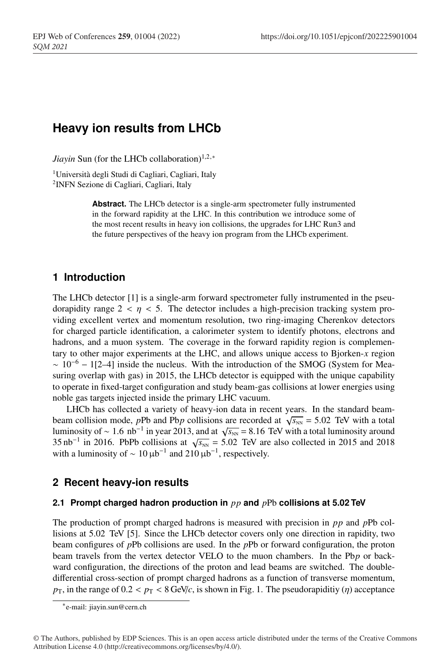# **Heavy ion results from LHCb**

*Jiayin* Sun (for the LHCb collaboration)<sup>1,2,∗</sup>

1Università degli Studi di Cagliari, Cagliari, Italy 2INFN Sezione di Cagliari, Cagliari, Italy

> **Abstract.** The LHCb detector is a single-arm spectrometer fully instrumented in the forward rapidity at the LHC. In this contribution we introduce some of the most recent results in heavy ion collisions, the upgrades for LHC Run3 and the future perspectives of the heavy ion program from the LHCb experiment.

# **1 Introduction**

The LHCb detector [1] is a single-arm forward spectrometer fully instrumented in the pseudorapidity range  $2 < n < 5$ . The detector includes a high-precision tracking system providing excellent vertex and momentum resolution, two ring-imaging Cherenkov detectors for charged particle identification, a calorimeter system to identify photons, electrons and hadrons, and a muon system. The coverage in the forward rapidity region is complementary to other major experiments at the LHC, and allows unique access to Bjorken-*x* region  $\sim 10^{-6} - 1[2-4]$  inside the nucleus. With the introduction of the SMOG (System for Measuring overlap with gas) in 2015, the LHCb detector is equipped with the unique capability to operate in fixed-target configuration and study beam-gas collisions at lower energies using noble gas targets injected inside the primary LHC vacuum.

LHCb has collected a variety of heavy-ion data in recent years. In the standard beambeam collision mode, *pPb* and Pb*p* collisions are recorded at  $\sqrt{s_{NN}} = 5.02$  TeV with a total luminosity of ~ 1.6 nb<sup>-1</sup> in year 2013, and at  $\sqrt{s_{NN}}$  = 8.16 TeV with a total luminosity around 35 nb<sup>-1</sup> in 2016. PbPb collisions at  $\sqrt{s_{NN}}$  = 5.02 TeV are also collected in 2015 and 2018 with a luminosity of  $\sim 10 \,\mu b^{-1}$  and 210  $\mu b^{-1}$ , respectively.

# **2 Recent heavy-ion results**

### **2.1 Prompt charged hadron production in** *pp* **and** *p*Pb **collisions at 5.02 TeV**

The production of prompt charged hadrons is measured with precision in *pp* and *p*Pb collisions at 5.02 TeV [5]. Since the LHCb detector covers only one direction in rapidity, two beam configures of *p*Pb collisions are used. In the *p*Pb or forward configuration, the proton beam travels from the vertex detector VELO to the muon chambers. In the Pb*p* or backward configuration, the directions of the proton and lead beams are switched. The doubledifferential cross-section of prompt charged hadrons as a function of transverse momentum,  $p_{\text{T}}$ , in the range of  $0.2 < p_{\text{T}} < 8$  GeV/*c*, is shown in Fig. 1. The pseudorapiditiy (*η*) acceptance

<sup>∗</sup>e-mail: jiayin.sun@cern.ch

<sup>©</sup> The Authors, published by EDP Sciences. This is an open access article distributed under the terms of the Creative Commons Attribution License 4.0 (http://creativecommons.org/licenses/by/4.0/).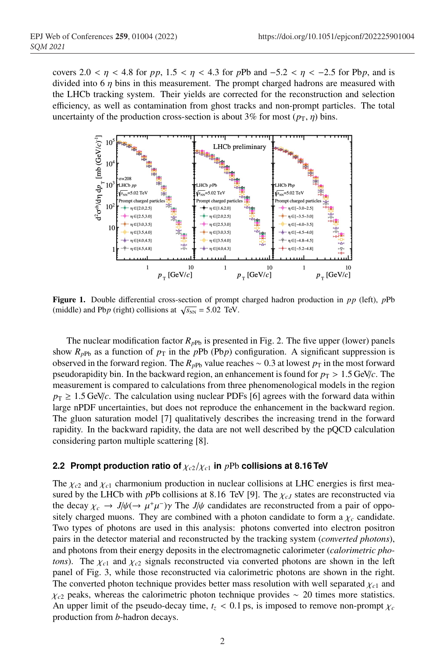covers 2.0 <  $\eta$  < 4.8 for *pp*, 1.5 <  $\eta$  < 4.3 for *pPb* and −5.2 <  $\eta$  < −2.5 for *Pb<sub>p</sub>*, and is divided into 6  $\eta$  bins in this measurement. The prompt charged hadrons are measured with the LHCb tracking system. Their yields are corrected for the reconstruction and selection efficiency, as well as contamination from ghost tracks and non-prompt particles. The total uncertainty of the production cross-section is about 3% for most  $(p_T, \eta)$  bins.



Figure 1. Double differential cross-section of prompt charged hadron production in *pp* (left), *p*Pb (middle) and Pb*p* (right) collisions at  $\sqrt{s_{NN}} = 5.02$  TeV.

The nuclear modification factor  $R_{pPb}$  is presented in Fig. 2. The five upper (lower) panels show  $R_{pPb}$  as a function of  $p<sub>T</sub>$  in the *pPb* (Pb*p*) configuration. A significant suppression is observed in the forward region. The  $R_{pPb}$  value reaches ~ 0.3 at lowest  $p<sub>T</sub>$  in the most forward pseudorapidity bin. In the backward region, an enhancement is found for  $p_T > 1.5$  GeV/*c*. The measurement is compared to calculations from three phenomenological models in the region  $p_T \ge 1.5$  GeV/*c*. The calculation using nuclear PDFs [6] agrees with the forward data within large nPDF uncertainties, but does not reproduce the enhancement in the backward region. The gluon saturation model [7] qualitatively describes the increasing trend in the forward rapidity. In the backward rapidity, the data are not well described by the pQCD calculation considering parton multiple scattering [8].

#### **2.2 Prompt production ratio of** χ*<sup>c</sup>*2/χ*<sup>c</sup>*<sup>1</sup> **in** *p*Pb **collisions at 8.16 TeV**

The  $\chi_{c2}$  and  $\chi_{c1}$  charmonium production in nuclear collisions at LHC energies is first measured by the LHCb with *pPb* collisions at 8.16 TeV [9]. The  $\chi_{cJ}$  states are reconstructed via the decay  $\chi_c \to J/\psi (\to \mu^+\mu^-) \gamma$  The *J*/ $\psi$  candidates are reconstructed from a pair of oppositely charged muons. They are combined with a photon candidate to form a  $\chi_c$  candidate. Two types of photons are used in this analysis: photons converted into electron positron pairs in the detector material and reconstructed by the tracking system (*converted photons*), and photons from their energy deposits in the electromagnetic calorimeter (*calorimetric photons*). The  $\chi_{c1}$  and  $\chi_{c2}$  signals reconstructed via converted photons are shown in the left panel of Fig. 3, while those reconstructed via calorimetric photons are shown in the right. The converted photon technique provides better mass resolution with well separated  $\chi_{c1}$  and χ*<sup>c</sup>*<sup>2</sup> peaks, whereas the calorimetric photon technique provides ∼ 20 times more statistics. An upper limit of the pseudo-decay time,  $t<sub>z</sub> < 0.1$  ps, is imposed to remove non-prompt  $\chi_c$ production from *b*-hadron decays.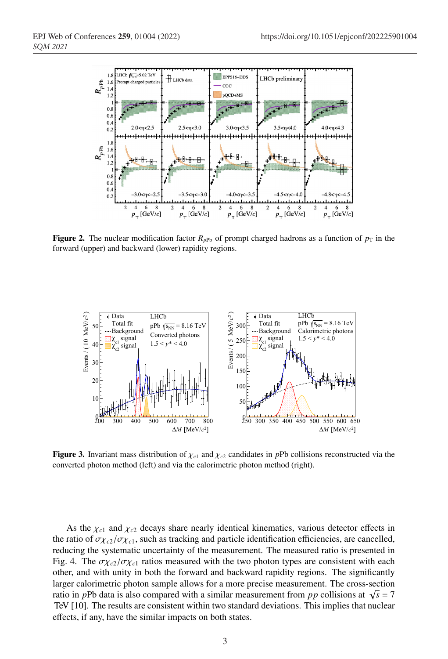

**Figure 2.** The nuclear modification factor  $R_{pPb}$  of prompt charged hadrons as a function of  $p<sub>T</sub>$  in the forward (upper) and backward (lower) rapidity regions.



**Figure 3.** Invariant mass distribution of  $\chi_{c1}$  and  $\chi_{c2}$  candidates in *pPb* collisions reconstructed via the converted photon method (left) and via the calorimetric photon method (right).

As the  $\chi_{c1}$  and  $\chi_{c2}$  decays share nearly identical kinematics, various detector effects in the ratio of  $\sigma_{\chi_{c2}}/\sigma_{\chi_{c1}}$ , such as tracking and particle identification efficiencies, are cancelled, reducing the systematic uncertainty of the measurement. The measured ratio is presented in Fig. 4. The  $\sigma \chi_{c2}/\sigma \chi_{c1}$  ratios measured with the two photon types are consistent with each other, and with unity in both the forward and backward rapidity regions. The significantly larger calorimetric photon sample allows for a more precise measurement. The cross-section ratio in *pPb* data is also compared with a similar measurement from *pp* collisions at  $\sqrt{s} = 7$ TeV [10]. The results are consistent within two standard deviations. This implies that nuclear effects, if any, have the similar impacts on both states.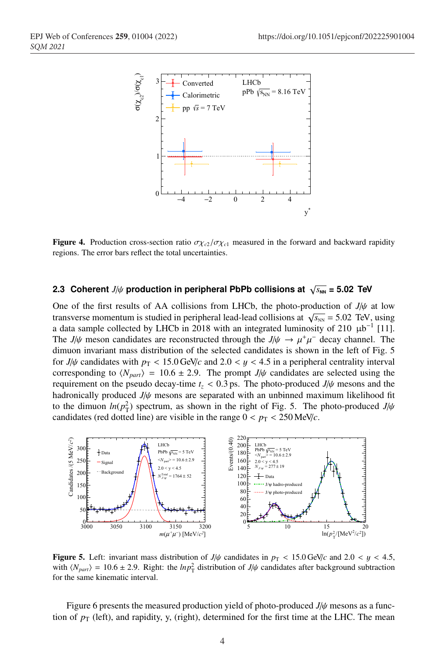

**Figure 4.** Production cross-section ratio  $\sigma_{\chi_{c2}}/\sigma_{\chi_{c1}}$  measured in the forward and backward rapidity regions. The error bars reflect the total uncertainties.

#### **2.3 Coherent** *J*/ $\psi$  production in peripheral PbPb collisions at  $\sqrt{s_{NN}}$  = 5.02 TeV

One of the first results of AA collisions from LHCb, the photo-production of *J*/ψ at low transverse momentum is studied in peripheral lead-lead collisions at  $\sqrt{s_{NN}}$  = 5.02 TeV, using a data sample collected by LHCb in 2018 with an integrated luminosity of 210  $\mu$ b<sup>-1</sup> [11]. The *J*/ $\psi$  meson candidates are reconstructed through the *J*/ $\psi \rightarrow \mu^+\mu^-$  decay channel. The dimuon invariant mass distribution of the selected candidates is shown in the left of Fig. 5 for *J*/ $\psi$  candidates with  $p<sub>T</sub> < 15.0$  GeV/*c* and 2.0 < *y* < 4.5 in a peripheral centrality interval corresponding to  $\langle N_{part} \rangle = 10.6 \pm 2.9$ . The prompt *J*/ $\psi$  candidates are selected using the requirement on the pseudo decay-time  $t_z < 0.3$  ps. The photo-produced  $J/\psi$  mesons and the hadronically produced *J*/ψ mesons are separated with an unbinned maximum likelihood fit to the dimuon  $ln(p_T^2)$  spectrum, as shown in the right of Fig. 5. The photo-produced  $J/\psi$ candidates (red dotted line) are visible in the range  $0 < p_T < 250$  MeV/*c*.



**Figure 5.** Left: invariant mass distribution of  $J/\psi$  candidates in  $p_T < 15.0$  GeV/*c* and 2.0 < y < 4.5, with  $\langle N_{part} \rangle = 10.6 \pm 2.9$ . Right: the  $ln p_{\rm T}^2$  distribution of  $J/\psi$  candidates after background subtraction for the same kinematic interval.

Figure 6 presents the measured production yield of photo-produced *J*/ψ mesons as a function of  $p_T$  (left), and rapidity, y, (right), determined for the first time at the LHC. The mean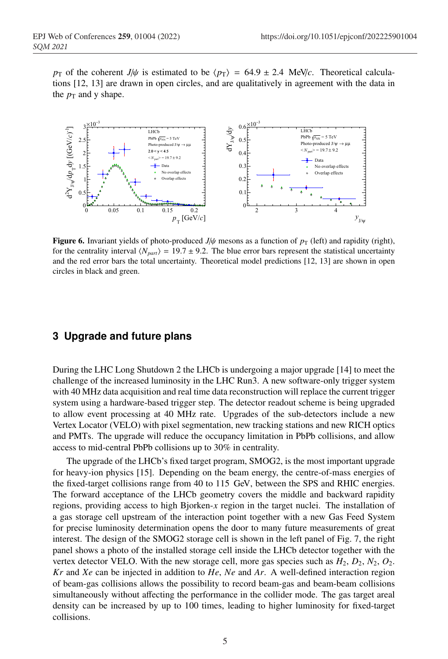*p*<sub>T</sub> of the coherent *J*/ $\psi$  is estimated to be  $\langle p_T \rangle$  = 64.9 ± 2.4 MeV/*c*. Theoretical calculations [12, 13] are drawn in open circles, and are qualitatively in agreement with the data in the  $p_T$  and y shape.



Figure 6. Invariant yields of photo-produced  $J/\psi$  mesons as a function of  $p_T$  (left) and rapidity (right), for the centrality interval  $\langle N_{part} \rangle = 19.7 \pm 9.2$ . The blue error bars represent the statistical uncertainty and the red error bars the total uncertainty. Theoretical model predictions [12, 13] are shown in open circles in black and green.

### **3 Upgrade and future plans**

During the LHC Long Shutdown 2 the LHCb is undergoing a major upgrade [14] to meet the challenge of the increased luminosity in the LHC Run3. A new software-only trigger system with 40 MHz data acquisition and real time data reconstruction will replace the current trigger system using a hardware-based trigger step. The detector readout scheme is being upgraded to allow event processing at 40 MHz rate. Upgrades of the sub-detectors include a new Vertex Locator (VELO) with pixel segmentation, new tracking stations and new RICH optics and PMTs. The upgrade will reduce the occupancy limitation in PbPb collisions, and allow access to mid-central PbPb collisions up to 30% in centrality.

The upgrade of the LHCb's fixed target program, SMOG2, is the most important upgrade for heavy-ion physics [15]. Depending on the beam energy, the centre-of-mass energies of the fixed-target collisions range from 40 to 115 GeV, between the SPS and RHIC energies. The forward acceptance of the LHCb geometry covers the middle and backward rapidity regions, providing access to high Bjorken-*x* region in the target nuclei. The installation of a gas storage cell upstream of the interaction point together with a new Gas Feed System for precise luminosity determination opens the door to many future measurements of great interest. The design of the SMOG2 storage cell is shown in the left panel of Fig. 7, the right panel shows a photo of the installed storage cell inside the LHCb detector together with the vertex detector VELO. With the new storage cell, more gas species such as  $H_2$ ,  $D_2$ ,  $N_2$ ,  $O_2$ . *Kr* and *Xe* can be injected in addition to *He*, *Ne* and *Ar*. A well-defined interaction region of beam-gas collisions allows the possibility to record beam-gas and beam-beam collisions simultaneously without affecting the performance in the collider mode. The gas target areal density can be increased by up to 100 times, leading to higher luminosity for fixed-target collisions.